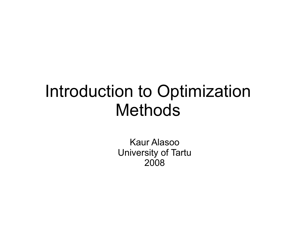### Introduction to Optimization Methods

Kaur Alasoo University of Tartu 2008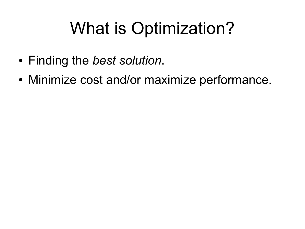## What is Optimization?

- Finding the *best solution*.
- Minimize cost and/or maximize performance.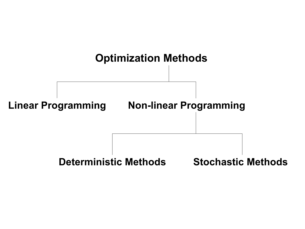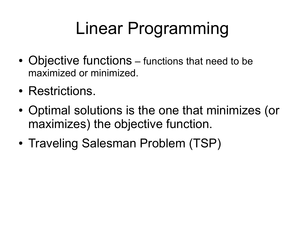# Linear Programming

- Objective functions functions that need to be maximized or minimized.
- Restrictions.
- Optimal solutions is the one that minimizes (or maximizes) the objective function.
- Traveling Salesman Problem (TSP)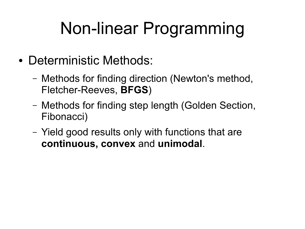# Non-linear Programming

- Deterministic Methods:
	- Methods for finding direction (Newton's method, Fletcher-Reeves, **BFGS**)
	- Methods for finding step length (Golden Section, Fibonacci)
	- Yield good results only with functions that are **continuous, convex** and **unimodal**.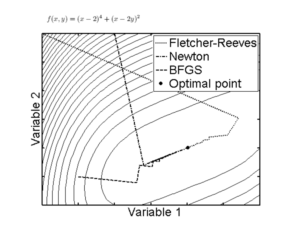$$
f(x, y) = (x - 2)^4 + (x - 2y)^2
$$

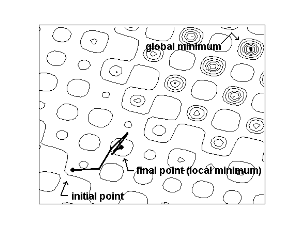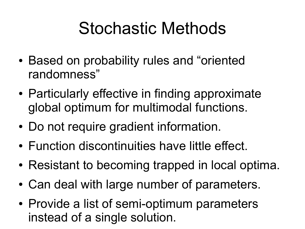## Stochastic Methods

- Based on probability rules and "oriented" randomness"
- Particularly effective in finding approximate global optimum for multimodal functions.
- Do not require gradient information.
- Function discontinuities have little effect.
- Resistant to becoming trapped in local optima.
- Can deal with large number of parameters.
- Provide a list of semi-optimum parameters instead of a single solution.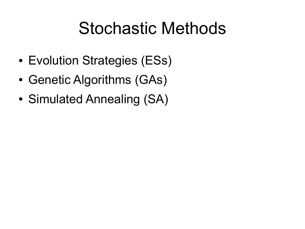## Stochastic Methods

- Evolution Strategies (ESs)
- Genetic Algorithms (GAs)
- Simulated Annealing (SA)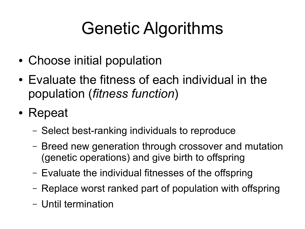# Genetic Algorithms

- Choose initial population
- Evaluate the fitness of each individual in the population (*fitness function*)
- Repeat
	- Select best-ranking individuals to reproduce
	- Breed new generation through crossover and mutation (genetic operations) and give birth to offspring
	- Evaluate the individual fitnesses of the offspring
	- Replace worst ranked part of population with offspring
	- Until termination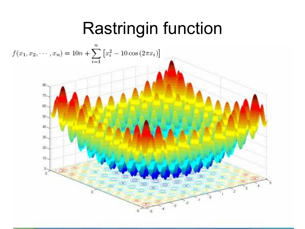## Rastringin function

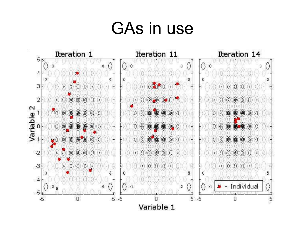### GAs in use

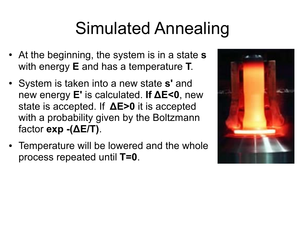## Simulated Annealing

- At the beginning, the system is in a state **s** with energy **E** and has a temperature **T**.
- System is taken into a new state **s'** and new energy **E'** is calculated. **If ΔE<0**, new state is accepted. If **ΔE>0** it is accepted with a probability given by the Boltzmann factor **exp -(ΔE/T)**.
- Temperature will be lowered and the whole process repeated until **T=0**.

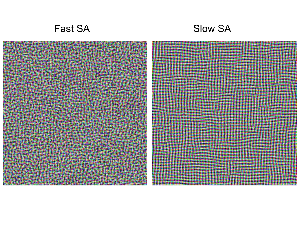#### Fast SA Slow SA

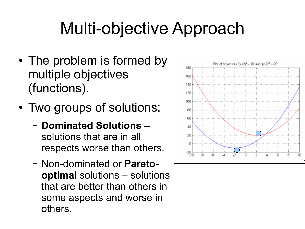## Multi-objective Approach

- The problem is formed by multiple objectives (functions).
- Two groups of solutions:
	- **Dominated Solutions** solutions that are in all respects worse than others.
	- Non-dominated or **Paretooptimal** solutions – solutions that are better than others in some aspects and worse in others.

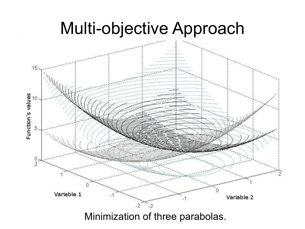### Multi-objective Approach



Minimization of three parabolas.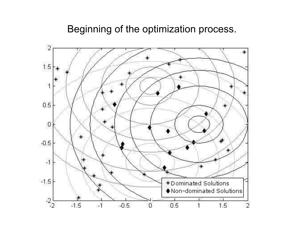#### Beginning of the optimization process.

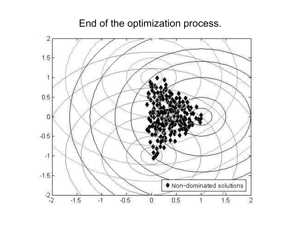End of the optimization process.